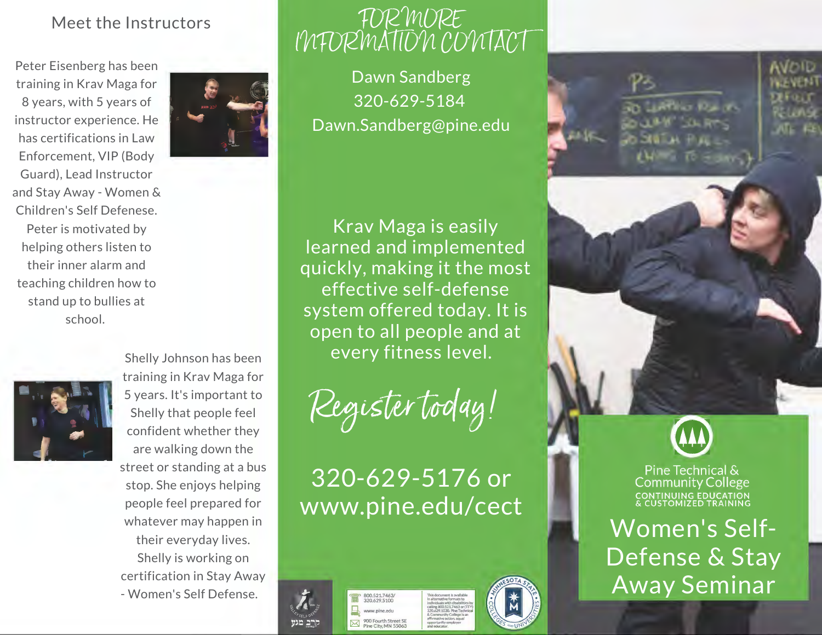## Meet the Instructors

Peter Eisenberg has been training in Krav Maga for 8 years, with 5 years of instructor experience. He has certifications in Law Enforcement, VIP (Body Guard), Lead Instructor and Stay Away - Women & Children's Self Defenese. Peter is motivated by helping others listen to their inner alarm and teaching children how to stand up to bullies at school.



# FOR MORE INFORMATION CONTACT

Dawn Sandberg 320-629-5184 Dawn.Sandberg@pine.edu

Krav Maga is easily learned and implemented quickly, making it the most effective self-defense system offered today. It is open to all people and at every fitness level.

Register today!

# 320-629-5176 or www.pine.edu/cect



800.521.7463/<br>320.629.5100 www.pine.edu %<br>900 Fourth 5treet SE<br>Pine City, MN 55063 This document is available<br>in alternative formats to individuals with disabilities by calling800.521.7463or (TTY) 320.629.1030. Pine Technical & Community College is an affirmative action, equal opportunity employer

and educator.





Pine Technical & **Community College** CONTINUING EDUCATION<br>& CUSTOMIZED TRAINING

Women's Self-Defense & Stay Away Seminar



training in Krav Maga for 5 years. It's important to Shelly that people feel confident whether they are walking down the street or standing at a bus stop. She enjoys helping people feel prepared for whatever may happen in their everyday lives. Shelly is working on certification in Stay Away - Women's Self Defense.

Shelly Johnson has been